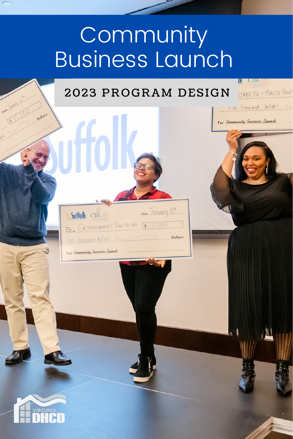# **Community** Business Launch

# 2023 PROGRAM DESIGN

Date January 15th

Dollars

Suffolk CBL

ten thousand dollars

For Community Business Launch

PORT OROUNDWORKS BAREBISTRO 5 10,000

**K** CBL

For Community Business Launch

IZABETH & MAUDE BOUT

Tive thousand dollars



Dollars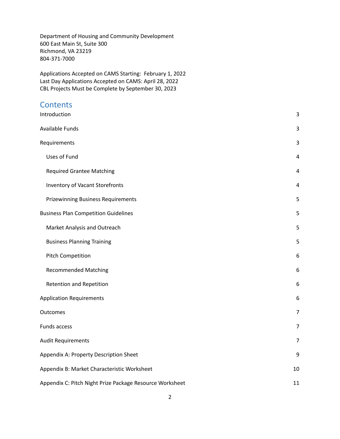Department of Housing and Community Development 600 East Main St, Suite 300 Richmond, VA 23219 804-371-7000

Applications Accepted on CAMS Starting: February 1, 2022 Last Day Applications Accepted on CAMS: April 28, 2022 CBL Projects Must be Complete by September 30, 2023

#### **Contents**

| Introduction                                             | 3              |  |
|----------------------------------------------------------|----------------|--|
| Available Funds                                          | 3              |  |
| Requirements                                             | 3              |  |
| Uses of Fund                                             | 4              |  |
| <b>Required Grantee Matching</b>                         | 4              |  |
| Inventory of Vacant Storefronts                          | 4              |  |
| <b>Prizewinning Business Requirements</b>                | 5              |  |
| <b>Business Plan Competition Guidelines</b>              | 5              |  |
| Market Analysis and Outreach                             | 5              |  |
| <b>Business Planning Training</b>                        | 5              |  |
| <b>Pitch Competition</b>                                 | 6              |  |
| <b>Recommended Matching</b>                              | 6              |  |
| Retention and Repetition                                 | 6              |  |
| <b>Application Requirements</b>                          | 6              |  |
| Outcomes                                                 | $\overline{7}$ |  |
| Funds access                                             | 7              |  |
| <b>Audit Requirements</b>                                | 7              |  |
| Appendix A: Property Description Sheet                   | 9              |  |
| Appendix B: Market Characteristic Worksheet              |                |  |
| Appendix C: Pitch Night Prize Package Resource Worksheet |                |  |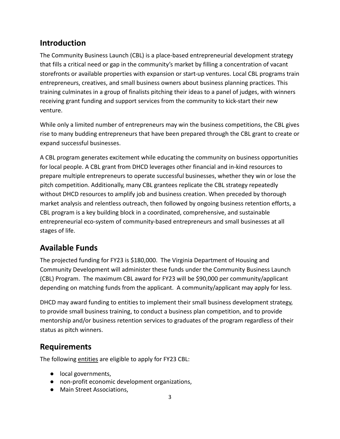#### **Introduction**

The Community Business Launch (CBL) is a place-based entrepreneurial development strategy that fills a critical need or gap in the community's market by filling a concentration of vacant storefronts or available properties with expansion or start-up ventures. Local CBL programs train entrepreneurs, creatives, and small business owners about business planning practices. This training culminates in a group of finalists pitching their ideas to a panel of judges, with winners receiving grant funding and support services from the community to kick-start their new venture.

While only a limited number of entrepreneurs may win the business competitions, the CBL gives rise to many budding entrepreneurs that have been prepared through the CBL grant to create or expand successful businesses.

A CBL program generates excitement while educating the community on business opportunities for local people. A CBL grant from DHCD leverages other financial and in-kind resources to prepare multiple entrepreneurs to operate successful businesses, whether they win or lose the pitch competition. Additionally, many CBL grantees replicate the CBL strategy repeatedly without DHCD resources to amplify job and business creation. When preceded by thorough market analysis and relentless outreach, then followed by ongoing business retention efforts, a CBL program is a key building block in a coordinated, comprehensive, and sustainable entrepreneurial eco-system of community-based entrepreneurs and small businesses at all stages of life.

#### **Available Funds**

The projected funding for FY23 is \$180,000. The Virginia Department of Housing and Community Development will administer these funds under the Community Business Launch (CBL) Program. The maximum CBL award for FY23 will be \$90,000 per community/applicant depending on matching funds from the applicant. A community/applicant may apply for less.

DHCD may award funding to entities to implement their small business development strategy, to provide small business training, to conduct a business plan competition, and to provide mentorship and/or business retention services to graduates of the program regardless of their status as pitch winners.

#### **Requirements**

The following entities are eligible to apply for FY23 CBL:

- local governments,
- non-profit economic development organizations,
- Main Street Associations,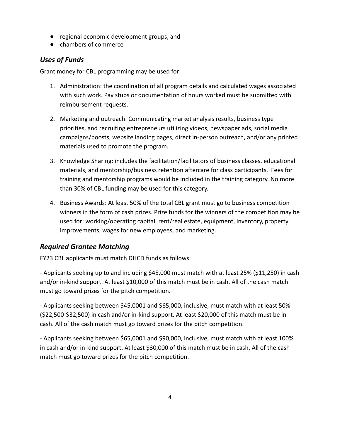- regional economic development groups, and
- chambers of commerce

#### *Uses of Funds*

Grant money for CBL programming may be used for:

- 1. Administration: the coordination of all program details and calculated wages associated with such work. Pay stubs or documentation of hours worked must be submitted with reimbursement requests.
- 2. Marketing and outreach: Communicating market analysis results, business type priorities, and recruiting entrepreneurs utilizing videos, newspaper ads, social media campaigns/boosts, website landing pages, direct in-person outreach, and/or any printed materials used to promote the program.
- 3. Knowledge Sharing: includes the facilitation/facilitators of business classes, educational materials, and mentorship/business retention aftercare for class participants. Fees for training and mentorship programs would be included in the training category. No more than 30% of CBL funding may be used for this category.
- 4. Business Awards: At least 50% of the total CBL grant must go to business competition winners in the form of cash prizes. Prize funds for the winners of the competition may be used for: working/operating capital, rent/real estate, equipment, inventory, property improvements, wages for new employees, and marketing.

#### *Required Grantee Matching*

FY23 CBL applicants must match DHCD funds as follows:

- Applicants seeking up to and including \$45,000 must match with at least 25% (\$11,250) in cash and/or in-kind support. At least \$10,000 of this match must be in cash. All of the cash match must go toward prizes for the pitch competition.

- Applicants seeking between \$45,0001 and \$65,000, inclusive, must match with at least 50% (\$22,500-\$32,500) in cash and/or in-kind support. At least \$20,000 of this match must be in cash. All of the cash match must go toward prizes for the pitch competition.

- Applicants seeking between \$65,0001 and \$90,000, inclusive, must match with at least 100% in cash and/or in-kind support. At least \$30,000 of this match must be in cash. All of the cash match must go toward prizes for the pitch competition.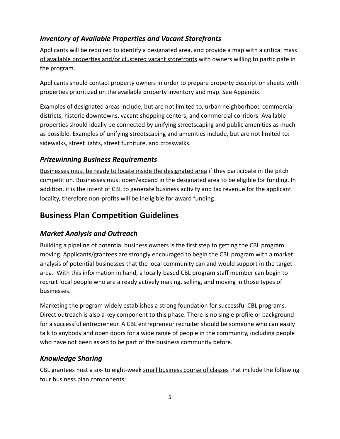#### *Inventory of Available Properties and Vacant Storefronts*

Applicants will be required to identify a designated area, and provide a map with a critical mass of available properties and/or clustered vacant storefronts with owners willing to participate in the program.

Applicants should contact property owners in order to prepare property description sheets with properties prioritized on the available property inventory and map. See Appendix.

Examples of designated areas include, but are not limited to, urban neighborhood commercial districts, historic downtowns, vacant shopping centers, and commercial corridors. Available properties should ideally be connected by unifying streetscaping and public amenities as much as possible. Examples of unifying streetscaping and amenities include, but are not limited to: sidewalks, street lights, street furniture, and crosswalks.

#### *Prizewinning Business Requirements*

Businesses must be ready to locate inside the designated area if they participate in the pitch competition. Businesses must open/expand in the designated area to be eligible for funding. In addition, it is the intent of CBL to generate business activity and tax revenue for the applicant locality, therefore non-profits will be ineligible for award funding.

#### **Business Plan Competition Guidelines**

#### *Market Analysis and Outreach*

Building a pipeline of potential business owners is the first step to getting the CBL program moving. Applicants/grantees are strongly encouraged to begin the CBL program with a market analysis of potential businesses that the local community can and would support in the target area. With this information in hand, a locally-based CBL program staff member can begin to recruit local people who are already actively making, selling, and moving in those types of businesses.

Marketing the program widely establishes a strong foundation for successful CBL programs. Direct outreach is also a key component to this phase. There is no single profile or background for a successful entrepreneur. A CBL entrepreneur recruiter should be someone who can easily talk to anybody and open doors for a wide range of people in the community, including people who have not been asked to be part of the business community before.

#### *Knowledge Sharing*

CBL grantees host a six- to eight-week small business course of classes that include the following four business plan components: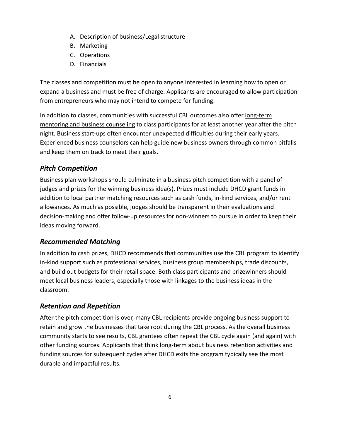- A. Description of business/Legal structure
- B. Marketing
- C. Operations
- D. Financials

The classes and competition must be open to anyone interested in learning how to open or expand a business and must be free of charge. Applicants are encouraged to allow participation from entrepreneurs who may not intend to compete for funding.

In addition to classes, communities with successful CBL outcomes also offer long-term mentoring and business counseling to class participants for at least another year after the pitch night. Business start-ups often encounter unexpected difficulties during their early years. Experienced business counselors can help guide new business owners through common pitfalls and keep them on track to meet their goals.

#### *Pitch Competition*

Business plan workshops should culminate in a business pitch competition with a panel of judges and prizes for the winning business idea(s). Prizes must include DHCD grant funds in addition to local partner matching resources such as cash funds, in-kind services, and/or rent allowances. As much as possible, judges should be transparent in their evaluations and decision-making and offer follow-up resources for non-winners to pursue in order to keep their ideas moving forward.

#### *Recommended Matching*

In addition to cash prizes, DHCD recommends that communities use the CBL program to identify in-kind support such as professional services, business group memberships, trade discounts, and build out budgets for their retail space. Both class participants and prizewinners should meet local business leaders, especially those with linkages to the business ideas in the classroom.

#### *Retention and Repetition*

After the pitch competition is over, many CBL recipients provide ongoing business support to retain and grow the businesses that take root during the CBL process. As the overall business community starts to see results, CBL grantees often repeat the CBL cycle again (and again) with other funding sources. Applicants that think long-term about business retention activities and funding sources for subsequent cycles after DHCD exits the program typically see the most durable and impactful results.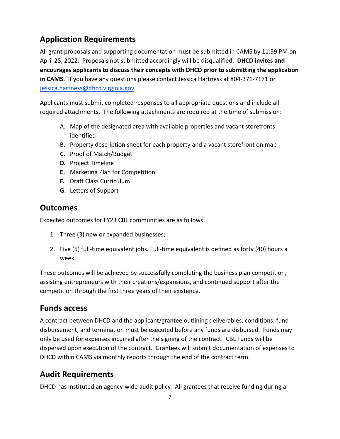## **Application Requirements**

All grant proposals and supporting documentation must be submitted in CAMS by 11:59 PM on April 28, 2022. Proposals not submitted accordingly will be disqualified. **DHCD invites and encourages applicants to discuss their concepts with DHCD prior to submitting the application in CAMS.** If you have any questions please contact Jessica Hartness at 804-371-7171 or [jessica.hartness@dhcd.virginia.gov.](mailto:jessica.hartness@dhcd.virginia.gov)

Applicants must submit completed responses to all appropriate questions and include all required attachments. The following attachments are required at the time of submission:

- A. Map of the designated area with available properties and vacant storefronts identified
- B. Property description sheet for each property and a vacant storefront on map
- **C.** Proof of Match/Budget
- **D.** Project Timeline
- **E.** Marketing Plan for Competition
- **F.** Draft Class Curriculum
- **G.** Letters of Support

#### **Outcomes**

Expected outcomes for FY23 CBL communities are as follows:

- 1. Three (3) new or expanded businesses;
- 2. Five (5) full-time equivalent jobs. Full-time equivalent is defined as forty (40) hours a week.

These outcomes will be achieved by successfully completing the business plan competition, assisting entrepreneurs with their creations/expansions, and continued support after the competition through the first three years of their existence.

#### **Funds access**

A contract between DHCD and the applicant/grantee outlining deliverables, conditions, fund disbursement, and termination must be executed before any funds are disbursed. Funds may only be used for expenses incurred after the signing of the contract. CBL Funds will be dispersed upon execution of the contract. Grantees will submit documentation of expenses to DHCD within CAMS via monthly reports through the end of the contract term.

#### **Audit Requirements**

DHCD has instituted an agency-wide audit policy. All grantees that receive funding during a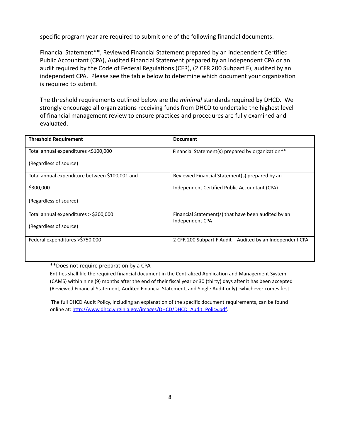specific program year are required to submit one of the following financial documents:

Financial Statement\*\*, Reviewed Financial Statement prepared by an independent Certified Public Accountant (CPA), Audited Financial Statement prepared by an independent CPA or an audit required by the Code of Federal Regulations (CFR), (2 CFR 200 Subpart F), audited by an independent CPA. Please see the table below to determine which document your organization is required to submit.

The threshold requirements outlined below are the *minimal* standards required by DHCD. We strongly encourage all organizations receiving funds from DHCD to undertake the highest level of financial management review to ensure practices and procedures are fully examined and evaluated.

| <b>Threshold Requirement</b>                   | <b>Document</b>                                                        |
|------------------------------------------------|------------------------------------------------------------------------|
| Total annual expenditures <\$100,000           | Financial Statement(s) prepared by organization**                      |
| (Regardless of source)                         |                                                                        |
| Total annual expenditure between \$100,001 and | Reviewed Financial Statement(s) prepared by an                         |
| \$300,000                                      | Independent Certified Public Accountant (CPA)                          |
| (Regardless of source)                         |                                                                        |
| Total annual expenditures > \$300,000          | Financial Statement(s) that have been audited by an<br>Independent CPA |
| (Regardless of source)                         |                                                                        |
| Federal expenditures $\geq$ \$750,000          | 2 CFR 200 Subpart F Audit - Audited by an Independent CPA              |
|                                                |                                                                        |

\*\*Does not require preparation by a CPA

Entities shall file the required financial document in the Centralized Application and Management System (CAMS) within nine (9) months after the end of their fiscal year or 30 (thirty) days after it has been accepted (Reviewed Financial Statement, Audited Financial Statement, and Single Audit only) -whichever comes first.

The full DHCD Audit Policy, including an explanation of the specific document requirements, can be found online at: [http://www.dhcd.virginia.gov/images/DHCD/DHCD\\_Audit\\_Policy.pdf.](http://www.dhcd.virginia.gov/images/DHCD/DHCD_Audit_Policy.pdf)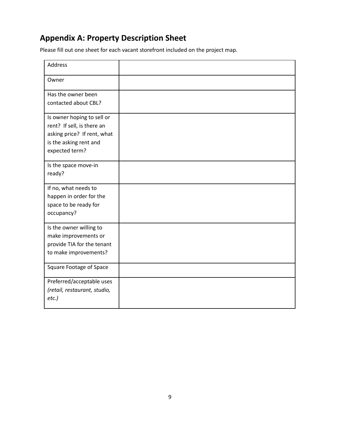### **Appendix A: Property Description Sheet**

Please fill out one sheet for each vacant storefront included on the project map.

| <b>Address</b>                                                                                                                      |  |
|-------------------------------------------------------------------------------------------------------------------------------------|--|
| Owner                                                                                                                               |  |
| Has the owner been<br>contacted about CBL?                                                                                          |  |
| Is owner hoping to sell or<br>rent? If sell, is there an<br>asking price? If rent, what<br>is the asking rent and<br>expected term? |  |
| Is the space move-in<br>ready?                                                                                                      |  |
| If no, what needs to<br>happen in order for the<br>space to be ready for<br>occupancy?                                              |  |
| Is the owner willing to<br>make improvements or<br>provide TIA for the tenant<br>to make improvements?                              |  |
| <b>Square Footage of Space</b>                                                                                                      |  |
| Preferred/acceptable uses<br>(retail, restaurant, studio,<br>$etc.$ )                                                               |  |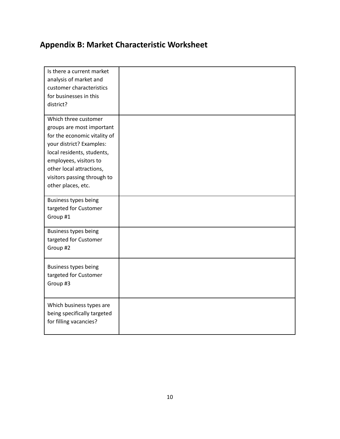# **Appendix B: Market Characteristic Worksheet**

| Is there a current market    |  |
|------------------------------|--|
| analysis of market and       |  |
| customer characteristics     |  |
| for businesses in this       |  |
| district?                    |  |
| Which three customer         |  |
| groups are most important    |  |
| for the economic vitality of |  |
| your district? Examples:     |  |
| local residents, students,   |  |
| employees, visitors to       |  |
| other local attractions,     |  |
| visitors passing through to  |  |
| other places, etc.           |  |
|                              |  |
| Business types being         |  |
| targeted for Customer        |  |
| Group #1                     |  |
| Business types being         |  |
| targeted for Customer        |  |
| Group #2                     |  |
|                              |  |
| Business types being         |  |
| targeted for Customer        |  |
| Group #3                     |  |
|                              |  |
| Which business types are     |  |
| being specifically targeted  |  |
| for filling vacancies?       |  |
|                              |  |